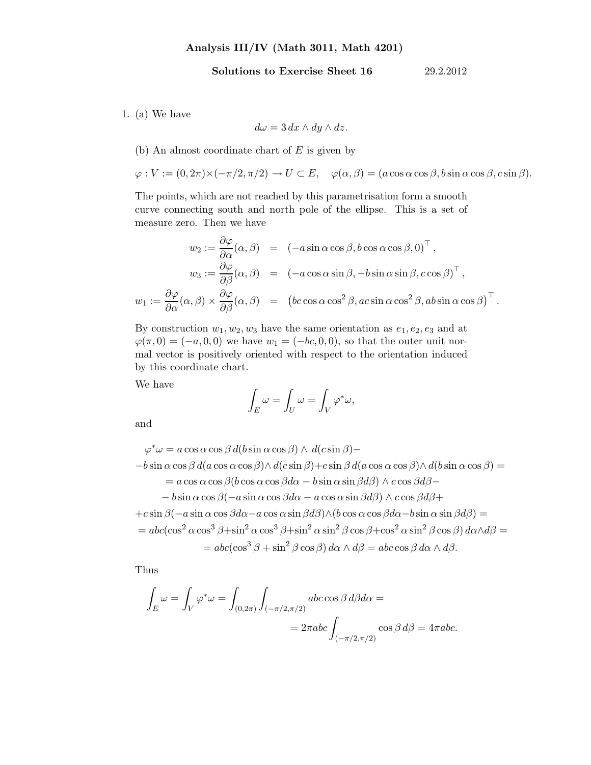## Analysis III/IV (Math 3011, Math 4201)

## Solutions to Exercise Sheet 16 29.2.2012

1. (a) We have

$$
d\omega=3\,dx\wedge dy\wedge dz.
$$

## (b) An almost coordinate chart of  $E$  is given by

 $\varphi: V := (0, 2\pi) \times (-\pi/2, \pi/2) \to U \subset E$ ,  $\varphi(\alpha, \beta) = (a \cos \alpha \cos \beta, b \sin \alpha \cos \beta, c \sin \beta)$ .

The points, which are not reached by this parametrisation form a smooth curve connecting south and north pole of the ellipse. This is a set of measure zero. Then we have

$$
w_2 := \frac{\partial \varphi}{\partial \alpha} (\alpha, \beta) = (-a \sin \alpha \cos \beta, b \cos \alpha \cos \beta, 0)^{\top},
$$
  

$$
w_3 := \frac{\partial \varphi}{\partial \beta} (\alpha, \beta) = (-a \cos \alpha \sin \beta, -b \sin \alpha \sin \beta, c \cos \beta)^{\top},
$$
  

$$
w_1 := \frac{\partial \varphi}{\partial \alpha} (\alpha, \beta) \times \frac{\partial \varphi}{\partial \beta} (\alpha, \beta) = (bc \cos \alpha \cos^2 \beta, ac \sin \alpha \cos^2 \beta, ab \sin \alpha \cos \beta)^{\top}.
$$

By construction  $w_1, w_2, w_3$  have the same orientation as  $e_1, e_2, e_3$  and at  $\varphi(\pi,0) = (-a,0,0)$  we have  $w_1 = (-bc,0,0)$ , so that the outer unit normal vector is positively oriented with respect to the orientation induced by this coordinate chart.

We have

$$
\int_E \omega = \int_U \omega = \int_V \varphi^* \omega,
$$

and

$$
\varphi^* \omega = a \cos \alpha \cos \beta d(b \sin \alpha \cos \beta) \wedge d(c \sin \beta) -
$$
  
\n
$$
-b \sin \alpha \cos \beta d(a \cos \alpha \cos \beta) \wedge d(c \sin \beta) + c \sin \beta d(a \cos \alpha \cos \beta) \wedge d(b \sin \alpha \cos \beta) =
$$
  
\n
$$
= a \cos \alpha \cos \beta (b \cos \alpha \cos \beta d\alpha - b \sin \alpha \sin \beta d\beta) \wedge c \cos \beta d\beta -
$$
  
\n
$$
-b \sin \alpha \cos \beta (-a \sin \alpha \cos \beta d\alpha - a \cos \alpha \sin \beta d\beta) \wedge c \cos \beta d\beta +
$$
  
\n
$$
+c \sin \beta (-a \sin \alpha \cos \beta d\alpha - a \cos \alpha \sin \beta d\beta) \wedge (b \cos \alpha \cos \beta d\alpha - b \sin \alpha \sin \beta d\beta) =
$$
  
\n
$$
= abc(\cos^2 \alpha \cos^3 \beta + \sin^2 \alpha \cos^3 \beta + \sin^2 \alpha \sin^2 \beta \cos \beta + \cos^2 \alpha \sin^2 \beta \cos \beta) d\alpha \wedge d\beta =
$$
  
\n
$$
= abc(\cos^3 \beta + \sin^2 \beta \cos \beta) d\alpha \wedge d\beta = abc \cos \beta d\alpha \wedge d\beta.
$$

Thus

$$
\int_{E} \omega = \int_{V} \varphi^* \omega = \int_{(0,2\pi)} \int_{(-\pi/2, \pi/2)} abc \cos \beta d\beta d\alpha =
$$
  
=  $2\pi abc \int_{(-\pi/2, \pi/2)} \cos \beta d\beta = 4\pi abc.$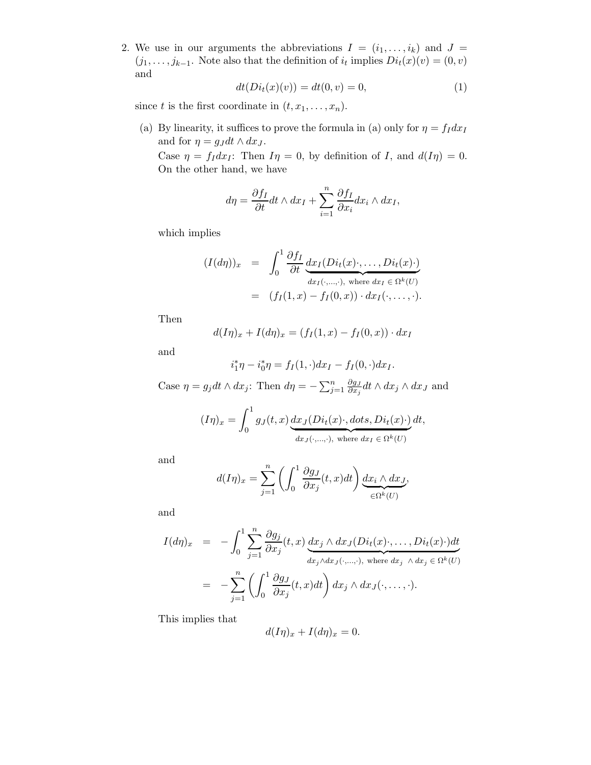2. We use in our arguments the abbreviations  $I = (i_1, \ldots, i_k)$  and  $J =$  $(j_1, \ldots, j_{k-1})$ . Note also that the definition of  $i_t$  implies  $Di_t(x)(v) = (0, v)$ and

$$
dt(Di_t(x)(v)) = dt(0, v) = 0,
$$
\n(1)

since t is the first coordinate in  $(t, x_1, \ldots, x_n)$ .

(a) By linearity, it suffices to prove the formula in (a) only for  $\eta = f_I dx_I$ and for  $\eta = g_J dt \wedge dx_J$ .

Case  $\eta = f_I dx_I$ : Then  $I\eta = 0$ , by definition of I, and  $d(I\eta) = 0$ . On the other hand, we have

$$
d\eta = \frac{\partial f_I}{\partial t} dt \wedge dx_I + \sum_{i=1}^n \frac{\partial f_I}{\partial x_i} dx_i \wedge dx_I,
$$

which implies

$$
(I(d\eta))_x = \int_0^1 \frac{\partial f_I}{\partial t} \underbrace{dx_I(Di_t(x)\cdot,\ldots,Di_t(x)\cdot)}_{dx_I(\cdot,\ldots,\cdot), \text{ where } dx_I \in \Omega^k(U)}
$$
  
= 
$$
(f_I(1,x) - f_I(0,x)) \cdot dx_I(\cdot,\ldots,\cdot).
$$

Then

$$
d(I\eta)_x + I(d\eta)_x = (f_I(1,x) - f_I(0,x)) \cdot dx_I
$$

and

$$
i_1^*\eta - i_0^*\eta = f_I(1,\cdot)dx_I - f_I(0,\cdot)dx_I.
$$

Case  $\eta = g_j dt \wedge dx_j$ : Then  $d\eta = -\sum_{j=1}^n \frac{\partial g_j}{\partial x_j}$  $\frac{\partial g_J}{\partial x_j} dt \wedge dx_j \wedge dx_J$  and

$$
(I\eta)_x = \int_0^1 g_J(t,x) \underbrace{dx_J(Di_t(x))}_{dx_J(\cdot,\ldots,\cdot), \text{ where } dx_I \in \Omega^k(U)} dt,
$$

and

$$
d(I\eta)_x = \sum_{j=1}^n \left( \int_0^1 \frac{\partial g_j}{\partial x_j}(t, x) dt \right) \underbrace{dx_i \wedge dx_j}_{\in \Omega^k(U)},
$$

and

$$
I(d\eta)_x = -\int_0^1 \sum_{j=1}^n \frac{\partial g_j}{\partial x_j}(t, x) \underbrace{dx_j \wedge dx_j (Di_t(x) \cdot, \dots, Di_t(x) \cdot) dt}_{dx_j \wedge dx_j(\cdot, \dots, \cdot), \text{ where } dx_j \wedge dx_j \in \Omega^k(U)}
$$
  
= 
$$
-\sum_{j=1}^n \left( \int_0^1 \frac{\partial g_j}{\partial x_j}(t, x) dt \right) dx_j \wedge dx_j(\cdot, \dots, \cdot).
$$

This implies that

$$
d(I\eta)_x + I(d\eta)_x = 0.
$$